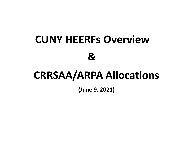## **CUNY HEERFs Overview &**

## **CRRSAA/ARPA Allocations**

**(June 9, 2021)**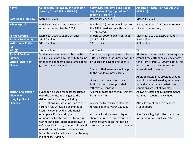| <b>Name</b>                    | <b>Coronavirus Aid, Relief, and Economic</b>  | <b>Coronavirus Response and Relief</b>               | <b>American Rescue Plan Act (ARPA or</b> |  |  |
|--------------------------------|-----------------------------------------------|------------------------------------------------------|------------------------------------------|--|--|
|                                | <b>Security Act (CARES or HEERF I)</b>        | <b>Supplemental Appropriations Act</b>               | <b>HEERF III)</b>                        |  |  |
|                                |                                               | (CRRSSA or HEERF II)                                 |                                          |  |  |
| <b>Date Signed into Law</b>    | March 27, 2020                                | December 27, 2021                                    | March 11, 2021                           |  |  |
| <b>When Expire?</b>            | Initially May 2021, but received a 12         | March 2022 (but timer will reset to                  | Estimated June 2022 (but can request     |  |  |
|                                | month extension to May 2022                   | the ARPA deadline once those funds<br>are obligated) | 12 month extension)                      |  |  |
| <b>Period Covered</b>          | March 13, 2020 to expiry of funds             | March 13, 2020 to expiry of funds                    | March 13, 2020 to expiry of funds        |  |  |
| <b>Student Portion (\$)</b>    | \$118.5 million                               | \$118.5 million                                      | \$401 million                            |  |  |
| <b>Institutional Portion</b>   | \$118.5 million                               | \$336.8 million                                      | \$399 million                            |  |  |
| (5)                            |                                               |                                                      |                                          |  |  |
| <b>MSI (\$)</b>                | \$14.2 million                                | \$23.7 million                                       | <b>TBD</b>                               |  |  |
| <b>Student Portion -</b>       | Students were required to be title IV         | Student no longer required to be                     | All students now quality for emergency   |  |  |
| <b>Primary</b>                 | eligible, could not have been fully online    | Title IV eligible; funds now prioritized             | grants if they attended college at any   |  |  |
| <b>Criteria/Significant</b>    | prior to the pandemic and grants had to       | on Exceptional Need of students.                     | time from March 13, 2020 to date. This   |  |  |
| <b>Change</b>                  | go directly to the students.                  |                                                      | include both undocumented and            |  |  |
|                                |                                               | Students that were fully online prior                | international students.                  |  |  |
|                                |                                               | to the pandemic now eligible.                        |                                          |  |  |
|                                |                                               |                                                      | Additional guidance provided around      |  |  |
|                                |                                               | Grants could be applied toward                       | what Exceptional Need is, what needs     |  |  |
|                                |                                               | tuition if the student provided                      | to be documented and what pre-           |  |  |
|                                |                                               | 'affirmative consent'.                               | conditions are not allowable.            |  |  |
| <b>Institutional Portion -</b> | Funds can be used for costs associated        | Allows all costs and reimbursements                  | Allows all costs and reimbursements      |  |  |
| <b>Allowable</b>               | with the significant changes to the           | from the CARES.                                      | outlined in CARES and CRRSAA.            |  |  |
| <b>Uses/Significant</b>        | delivery of instruction, including            |                                                      |                                          |  |  |
| <b>Changes</b>                 | interruptions in instruction, due to the      | Allows the University to claim lost                  | Also allows colleges to discharge        |  |  |
|                                | coronavirus. Allowable examples of            | revenue back to March 13, 2020.                      | student debt.                            |  |  |
|                                | costs include; providing additional           |                                                      |                                          |  |  |
|                                | emergency financial aid grants,               | Also specifically allows colleges to                 | Specifically highlights the use of funds |  |  |
|                                | reimbursing for the colleges for refunds,     | charge indirect cost recoveries and                  | for minor repairs such as HVAC.          |  |  |
|                                | technology costs (additional hardware,        | administrative costs that can be                     |                                          |  |  |
|                                | software, WIFI, etc.), campus safety and      | directly connected to the pandemic.                  |                                          |  |  |
|                                | operations (incl. costs to disinfect and      |                                                      |                                          |  |  |
|                                | facilitate socially distancing), and training |                                                      |                                          |  |  |
|                                | in online instruction.                        |                                                      |                                          |  |  |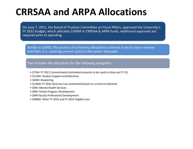## **CRRSAA and ARPA Allocations**

On June 7, 2021, the Board of Trustees Committee on Fiscal Affairs, approved the University's FY 2022 budget; which allocates \$760M in CRRSAA & ARPA funds. Additional approvals are required prior to spending.

Similar to CARES, the priority of University allocations continue to be to cover revenue shortfalls, (i.e. covering current costs) to the extent allowable.

## Plan includes the allocations for the following categories:

- \$75M: FY 2021 Commitments (estimated amounts to be used to close out FY 21)
- \$125M: Student Support and Retention
- \$20M: Reopening
- \$136M: FY 2022 Revenue Loss (estimated based on current enrollment)
- \$5M: Mental Health Services
- \$8M: Online Program Development
- \$4M Faculty Professional Development
- \$386M: Other FY 2022 and FY 2023 Eligible Uses